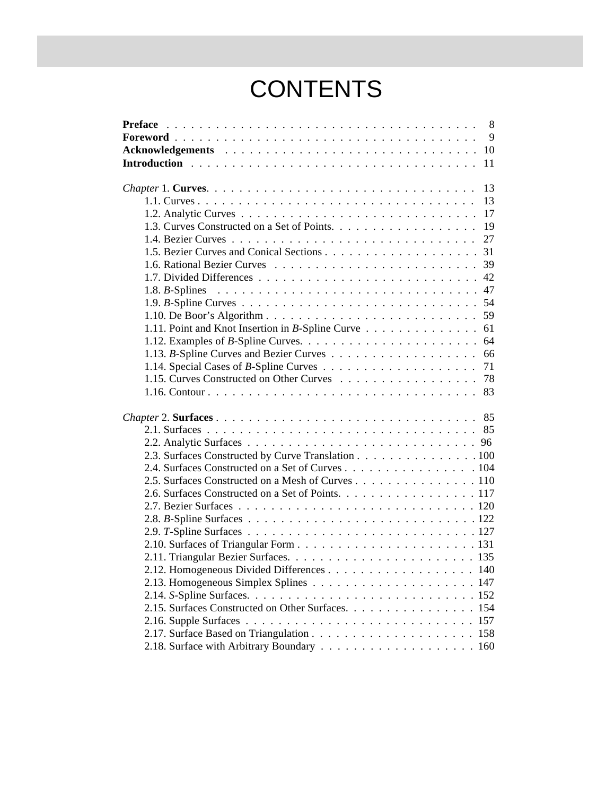## **CONTENTS**

| $\overline{9}$<br>13<br>1.11. Point and Knot Insertion in B-Spline Curve 61 |
|-----------------------------------------------------------------------------|
|                                                                             |
|                                                                             |
|                                                                             |
|                                                                             |
|                                                                             |
|                                                                             |
|                                                                             |
|                                                                             |
|                                                                             |
|                                                                             |
|                                                                             |
|                                                                             |
|                                                                             |
|                                                                             |
|                                                                             |
|                                                                             |
|                                                                             |
|                                                                             |
|                                                                             |
|                                                                             |
|                                                                             |
|                                                                             |
|                                                                             |
| 2.3. Surfaces Constructed by Curve Translation 100                          |
| 2.4. Surfaces Constructed on a Set of Curves 104                            |
| 2.5. Surfaces Constructed on a Mesh of Curves 110                           |
| 2.6. Surfaces Constructed on a Set of Points. 117                           |
|                                                                             |
|                                                                             |
|                                                                             |
|                                                                             |
|                                                                             |
| 2.12. Homogeneous Divided Differences 140                                   |
|                                                                             |
|                                                                             |
| 2.15. Surfaces Constructed on Other Surfaces. 154                           |
|                                                                             |
|                                                                             |
|                                                                             |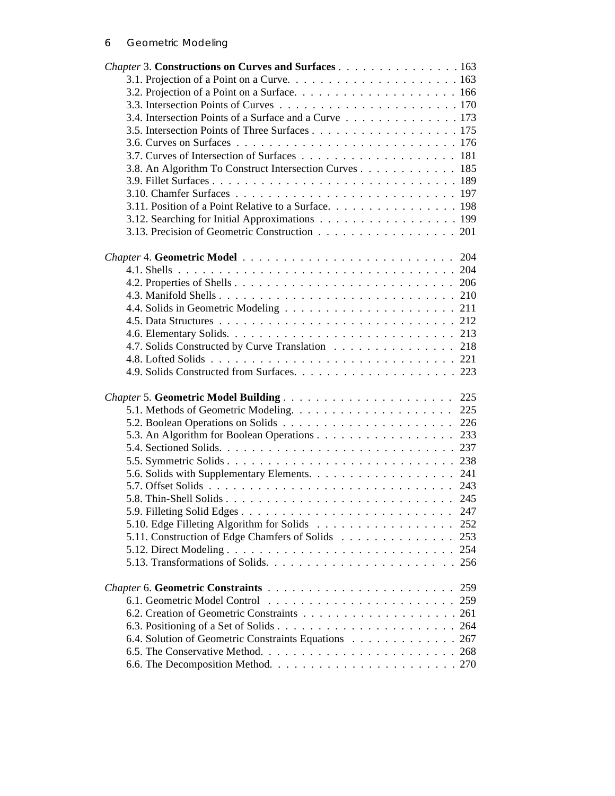| Chapter 3. Constructions on Curves and Surfaces 163    |     |
|--------------------------------------------------------|-----|
|                                                        |     |
|                                                        |     |
|                                                        |     |
| 3.4. Intersection Points of a Surface and a Curve 173  |     |
|                                                        |     |
|                                                        |     |
|                                                        |     |
| 3.8. An Algorithm To Construct Intersection Curves 185 |     |
|                                                        |     |
|                                                        |     |
| 3.11. Position of a Point Relative to a Surface. 198   |     |
| 3.12. Searching for Initial Approximations 199         |     |
| 3.13. Precision of Geometric Construction 201          |     |
|                                                        |     |
|                                                        |     |
|                                                        |     |
|                                                        |     |
|                                                        |     |
|                                                        |     |
|                                                        |     |
|                                                        |     |
| 4.7. Solids Constructed by Curve Translation 218       |     |
|                                                        |     |
|                                                        |     |
|                                                        |     |
|                                                        |     |
|                                                        | 225 |
|                                                        | 226 |
| 5.3. An Algorithm for Boolean Operations 233           |     |
|                                                        |     |
|                                                        |     |
|                                                        |     |
|                                                        |     |
|                                                        |     |
|                                                        | 247 |
|                                                        | 252 |
| 5.11. Construction of Edge Chamfers of Solids          | 253 |
|                                                        | 254 |
|                                                        |     |
|                                                        |     |
|                                                        |     |
|                                                        |     |
|                                                        |     |
|                                                        |     |
| 6.4. Solution of Geometric Constraints Equations 267   |     |
|                                                        |     |
|                                                        |     |